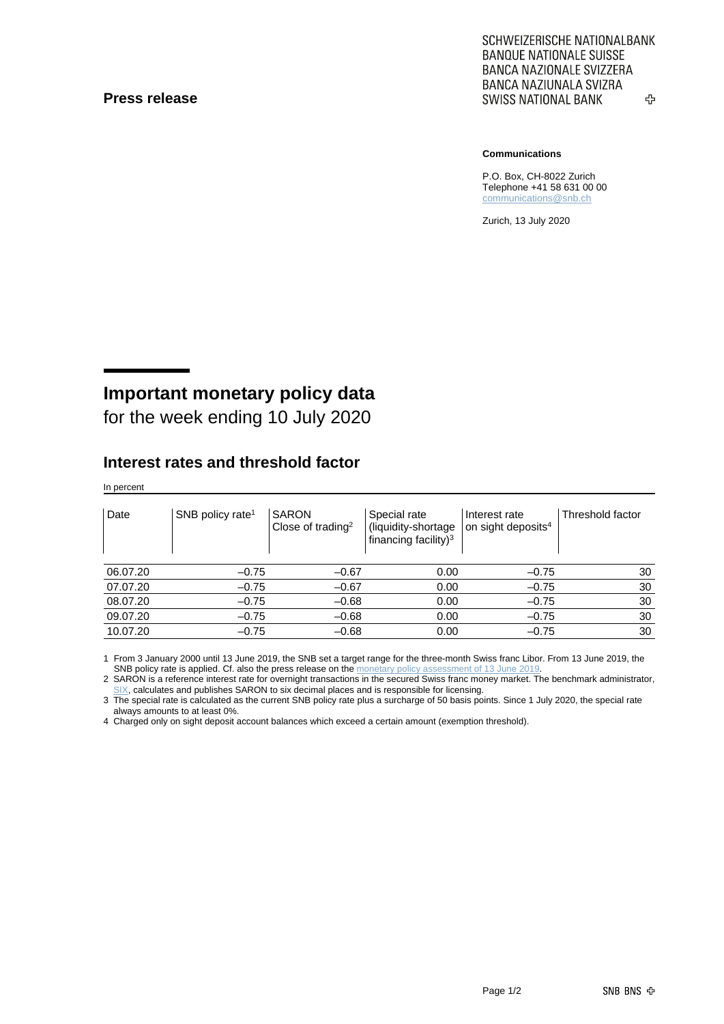#### **Press release**

SCHWEIZERISCHE NATIONALBANK **BANQUE NATIONALE SUISSE BANCA NAZIONALE SVIZZERA** BANCA NAZIUNALA SVIZRA **SWISS NATIONAL BANK** ኇ

#### **Communications**

P.O. Box, CH-8022 Zurich Telephone +41 58 631 00 00 [communications@snb.ch](mailto:communications@snb.ch)

Zurich, 13 July 2020

# **Important monetary policy data**

for the week ending 10 July 2020

### **Interest rates and threshold factor**

In percent

| Date     | SNB policy rate <sup>1</sup> | <b>SARON</b><br>Close of trading <sup>2</sup> | Special rate<br>(liquidity-shortage<br>financing facility) <sup>3</sup> | Interest rate<br>on sight deposits <sup>4</sup> | Threshold factor |
|----------|------------------------------|-----------------------------------------------|-------------------------------------------------------------------------|-------------------------------------------------|------------------|
| 06.07.20 | $-0.75$                      | $-0.67$                                       | 0.00                                                                    | $-0.75$                                         | 30               |
| 07.07.20 | $-0.75$                      | $-0.67$                                       | 0.00                                                                    | $-0.75$                                         | 30               |
| 08.07.20 | $-0.75$                      | $-0.68$                                       | 0.00                                                                    | $-0.75$                                         | 30               |
| 09.07.20 | $-0.75$                      | $-0.68$                                       | 0.00                                                                    | $-0.75$                                         | 30               |
| 10.07.20 | $-0.75$                      | $-0.68$                                       | 0.00                                                                    | $-0.75$                                         | 30               |

1 From 3 January 2000 until 13 June 2019, the SNB set a target range for the three-month Swiss franc Libor. From 13 June 2019, the SNB policy rate is applied. Cf. also the press release on th[e monetary policy assessment of 13](https://www.snb.ch/en/mmr/reference/pre_20190613/source/pre_20190613.en.pdf) June 201

2 SARON is a reference interest rate for overnight transactions in the secured Swiss franc money market. The benchmark administrator, [SIX,](https://www.six-group.com/exchanges/indices/data_centre/swiss_reference_rates/reference_rates_en.html) calculates and publishes SARON to six decimal places and is responsible for licensing.

3 The special rate is calculated as the current SNB policy rate plus a surcharge of 50 basis points. Since 1 July 2020, the special rate always amounts to at least 0%.

4 Charged only on sight deposit account balances which exceed a certain amount (exemption threshold).